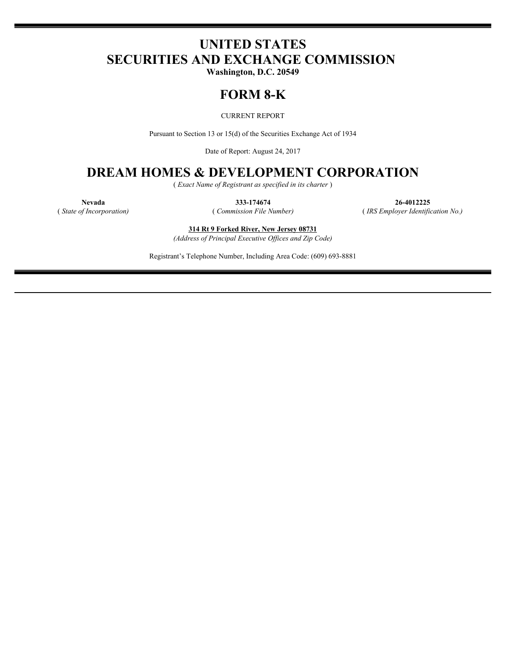# **UNITED STATES SECURITIES AND EXCHANGE COMMISSION**

**Washington, D.C. 20549**

## **FORM 8-K**

CURRENT REPORT

Pursuant to Section 13 or 15(d) of the Securities Exchange Act of 1934

Date of Report: August 24, 2017

## **DREAM HOMES & DEVELOPMENT CORPORATION**

( *Exact Name of Registrant as specified in its charter* )

**Nevada 333-174674 26-4012225** ( *State of Incorporation)* ( *Commission File Number)* ( *IRS Employer Identification No.)*

**314 Rt 9 Forked River, New Jersey 08731**

*(Address of Principal Executive Offices and Zip Code)*

Registrant's Telephone Number, Including Area Code: (609) 693-8881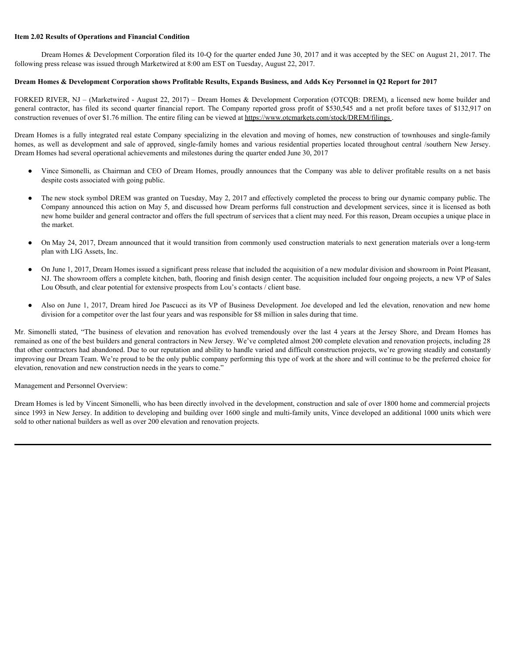#### **Item 2.02 Results of Operations and Financial Condition**

Dream Homes & Development Corporation filed its 10-Q for the quarter ended June 30, 2017 and it was accepted by the SEC on August 21, 2017. The following press release was issued through Marketwired at 8:00 am EST on Tuesday, August 22, 2017.

#### **Dream Homes & Development Corporation shows Profitable Results, Expands Business, and Adds Key Personnel in Q2 Report for 2017**

FORKED RIVER, NJ – (Marketwired - August 22, 2017) – Dream Homes & Development Corporation (OTCQB: DREM), a licensed new home builder and construction revenues of over \$1.76 million. The entire filing can be viewed at https://www.otcmarkets.com/stock/DREM/filings.

Item 2.02 Results of Operations and Financial Condition<br>
Dream Homes & Development Corporation filed its 10-Q for the quarter ended June 30, 2017 and it was accepted by the SEC on August 21, 2017. The<br>
following press rele Dream Homes is a fully integrated real estate Company specializing in the elevation and moving of homes, new construction of townhouses and single-family **homes, as well as development condition**<br> **homes & Development Corporation filed its 10-Q for the quarter ended June 20, 2017 and it was accepted by the SEC on August 21, 2017. The<br>
following press release was issued thro** Dream Homes had several operational achievements and milestones during the quarter ended June 30, 2017

- despite costs associated with going public.
- **2.02 Results of Operations and Financial Condition**<br>
Dream Homes & Development Corporation filed its 10-Q for the quanter ended June 20, 2017 and it was accepted by the SEC on August 21, 2017. The<br>
wing press release was • The new stock symbol DREM was granted on Tuesday, May 2, 2017 and effectively completed the process to bring our dynamic company public. The Company announced this action on May 5, and discussed how Dream performs full construction and development services, since it is licensed as both new home builder and general contractor and offers the full spectrum of services that a client may need. For this reason, Dream occupies a unique place in the market.
- On May 24, 2017, Dream announced that it would transition from commonly used construction materials to next generation materials over a long-term plan with LIG Assets, Inc.
- On June 1, 2017, Dream Homes issued a significant press release that included the acquisition of a new modular division and showroom in Point Pleasant, NJ. The showroom offers a complete kitchen, bath, flooring and finish design center. The acquisition included four ongoing projects, a new VP of Sales Lou Obsuth, and clear potential for extensive prospects from Lou's contacts / client base.
- Also on June 1, 2017, Dream hired Joe Pascucci as its VP of Business Development. Joe developed and led the elevation, renovation and new home division for a competitor over the last four years and was responsible for \$8 million in sales during that time.

Following reason was bound boundy Murketswired at 8:00 am INST on Tusching. Angout 22, 5017.<br>
DYGED RIVER, NI - CMachering Governland show Product Results. Repaids Benitess, and Adds Key Personal in Q3 Report for 2017<br>
FO remained as one of the best builders and general contractors in New Jersey. We've completed almost 200 complete elevation and renovation projects, including 28 that other contractors had abandoned. Due to our reputation and ability to handle varied and difficult construction projects, we're growing steadily and constantly improving our Dream Team. We're proud to be the only public company performing this type of work at the shore and will continue to be the preferred choice for elevation, renovation and new construction needs in the years to come."

Management and Personnel Overview:

Dream Homes is led by Vincent Simonelli, who has been directly involved in the development, construction and sale of over 1800 home and commercial projects since 1993 in New Jersey. In addition to developing and building over 1600 single and multi-family units, Vince developed an additional 1000 units which were sold to other national builders as well as over 200 elevation and renovation projects.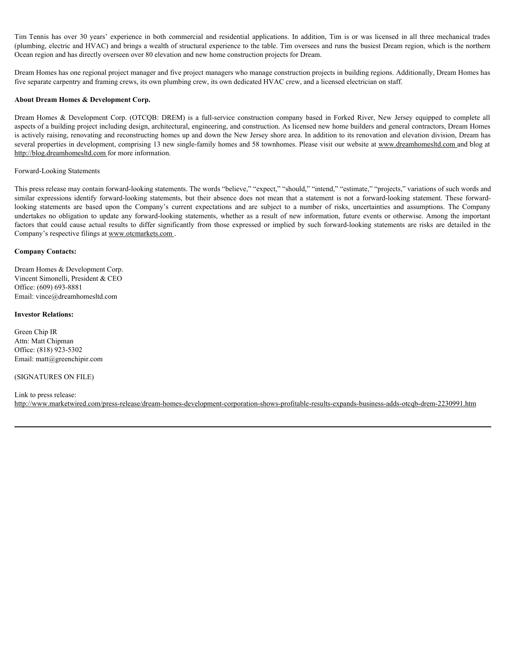Tim Tennis has over 30 years' experience in both commercial and residential applications. In addition, Tim is or was licensed in all three mechanical trades (plumbing, electric and HVAC) and brings a wealth of structural e (plumbing, electric and HVAC) and brings a wealth of structural experience to the table. Tim oversees and runs the busiest Dream region, which is the northern Ocean region and has directly overseen over 80 elevation and new home construction projects for Dream.

Dream Homes has one regional project manager and five project managers who manage construction projects in building regions. Additionally, Dream Homes has five separate carpentry and framing crews, its own plumbing crew, its own dedicated HVAC crew, and a licensed electrician on staff.

#### **About Dream Homes & Development Corp.**

Tim Tennis has over 30 years' experience in both commercial and residential applications. In addition, Tim is or was licensed in all three mechanical trades<br>(plumbing, electric and HVAC) and brings a wealth of structural e aspects of a building project including design, architectural, engineering, and construction. As licensed new home builders and general contractors, Dream Homes is actively raising, renovating and reconstructing homes up and down the New Jersey shore area. In addition to its renovation and elevation division, Dream has several properties in development, comprising 13 new single-family homes and 58 townhomes. Please visit our website at www.dreamhomesltd.com and blog at http://blog.dreamhomesltd.com for more information.

#### Forward-Looking Statements

This press release may contain forward-looking statements. The words "believe," "expect," "should," "intend," "estimate," "projects," variations of such words and Tim Termis has over 30 years' experience in both commercial and residential applications. In addition, Tim is or was licensed in all three mechanical tradest<br>(plumbing, electron ad NVAC) and brisness was weather statement Ilm Iemia has over 30 years' experience in both commercial and residential applications. In addition, Ilm is or was licensed in all three predunited tradest<br>(plumbing celetion are 1870AD and branchi as weather of the conte Tim Tennis has over 30 years' experience in both conmercial and residential applications. In addition, Tim is or was licensed in all three mechanical tradest<br>glyinming, electric and UNAC) and brings a weilin of structural Tim Tennis has over 30 years' experience in both connected and residential applications. In addition, Tim is or was keeneed in all three mechanical tradest<br>folumbing, electric and HVAC) and bring a weith of structural exp Company's respective filings at www.otcmarkets.com .

#### **Company Contacts:**

Dream Homes & Development Corp. Vincent Simonelli, President & CEO Office: (609) 693-8881 Email: vince@dreamhomesltd.com

#### **Investor Relations:**

Green Chip IR Attn: Matt Chipman Office: (818) 923-5302 Email: matt@greenchipir.com

#### (SIGNATURES ON FILE)

#### Link to press release:

http://www.marketwired.com/press-release/dream-homes-development-corporation-shows-profitable-results-expands-business-adds-otcqb-drem-2230991.htm